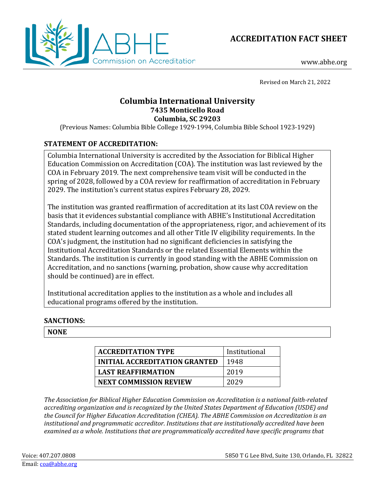



www.abhe.org

Revised on March 21, 2022

## **Columbia International University 7435 Monticello Road Columbia, SC 29203**

(Previous Names: Columbia Bible College 1929-1994, Columbia Bible School 1923-1929)

# **STATEMENT OF ACCREDITATION:**

Columbia International University is accredited by the Association for Biblical Higher Education Commission on Accreditation (COA). The institution was last reviewed by the COA in February 2019. The next comprehensive team visit will be conducted in the spring of 2028, followed by a COA review for reaffirmation of accreditation in February 2029. The institution's current status expires February 28, 2029.

The institution was granted reaffirmation of accreditation at its last COA review on the basis that it evidences substantial compliance with ABHE's Institutional Accreditation Standards, including documentation of the appropriateness, rigor, and achievement of its stated student learning outcomes and all other Title IV eligibility requirements. In the COA's judgment, the institution had no significant deficiencies in satisfying the Institutional Accreditation Standards or the related Essential Elements within the Standards. The institution is currently in good standing with the ABHE Commission on Accreditation, and no sanctions (warning, probation, show cause why accreditation should be continued) are in effect.

Institutional accreditation applies to the institution as a whole and includes all educational programs offered by the institution.

### **SANCTIONS:**

### **NONE**

| <b>ACCREDITATION TYPE</b>     | Institutional |
|-------------------------------|---------------|
| INITIAL ACCREDITATION GRANTED | 1948          |
| <b>LAST REAFFIRMATION</b>     | 2019          |
| <b>NEXT COMMISSION REVIEW</b> | 2029          |

*The Association for Biblical Higher Education Commission on Accreditation is a national faith-related accrediting organization and is recognized by the United States Department of Education (USDE) and the Council for Higher Education Accreditation (CHEA). The ABHE Commission on Accreditation is an institutional and programmatic accreditor. Institutions that are institutionally accredited have been examined as a whole. Institutions that are programmatically accredited have specific programs that*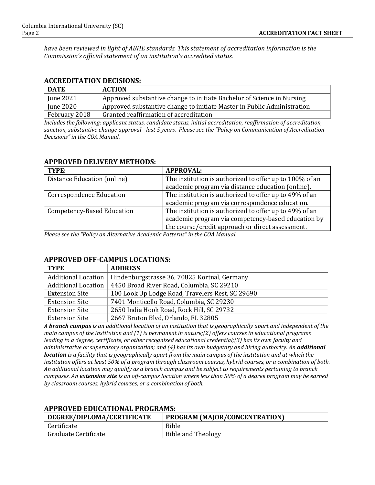*have been reviewed in light of ABHE standards. This statement of accreditation information is the Commission's official statement of an institution's accredited status.*

### **ACCREDITATION DECISIONS:**

| <b>DATE</b>   | <b>ACTION</b>                                                           |
|---------------|-------------------------------------------------------------------------|
| June 2021     | Approved substantive change to initiate Bachelor of Science in Nursing  |
| June 2020     | Approved substantive change to initiate Master in Public Administration |
| February 2018 | Granted reaffirmation of accreditation                                  |

*Includes the following: applicant status, candidate status, initial accreditation, reaffirmation of accreditation, sanction, substantive change approval - last 5 years. Please see the "Policy on Communication of Accreditation Decisions" in the COA Manual.*

### **APPROVED DELIVERY METHODS:**

| TYPE:                           | <b>APPROVAL:</b>                                        |
|---------------------------------|---------------------------------------------------------|
| Distance Education (online)     | The institution is authorized to offer up to 100% of an |
|                                 | academic program via distance education (online).       |
| <b>Correspondence Education</b> | The institution is authorized to offer up to 49% of an  |
|                                 | academic program via correspondence education.          |
| Competency-Based Education      | The institution is authorized to offer up to 49% of an  |
|                                 | academic program via competency-based education by      |
|                                 | the course/credit approach or direct assessment.        |

*Please see the "Policy on Alternative Academic Patterns" in the COA Manual.*

### **APPROVED OFF-CAMPUS LOCATIONS:**

| <b>TYPE</b>                | <b>ADDRESS</b>                                   |
|----------------------------|--------------------------------------------------|
| <b>Additional Location</b> | Hindenburgstrasse 36, 70825 Kortnal, Germany     |
| <b>Additional Location</b> | 4450 Broad River Road, Columbia, SC 29210        |
| <b>Extension Site</b>      | 100 Look Up Lodge Road, Travelers Rest, SC 29690 |
| <b>Extension Site</b>      | 7401 Monticello Road, Columbia, SC 29230         |
| <b>Extension Site</b>      | 2650 India Hook Road, Rock Hill, SC 29732        |
| <b>Extension Site</b>      | 2667 Bruton Blvd, Orlando, FL 32805              |

*A branch campus is an additional location of an institution that is geographically apart and independent of the main campus of the institution and (1) is permanent in nature;(2) offers courses in educational programs leading to a degree, certificate, or other recognized educational credential;(3) has its own faculty and administrative or supervisory organization; and (4) has its own budgetary and hiring authority. An additional location is a facility that is geographically apart from the main campus of the institution and at which the institution offers at least 50% of a program through classroom courses, hybrid courses, or a combination of both. An additional location may qualify as a branch campus and be subject to requirements pertaining to branch campuses. An extension site is an off-campus location where less than 50% of a degree program may be earned by classroom courses, hybrid courses, or a combination of both.*

| DEGREE/DIPLOMA/CERTIFICATE<br>PROGRAM (MAJOR/CONCENTRATION) |                           |
|-------------------------------------------------------------|---------------------------|
| Certificate                                                 | <b>Bible</b>              |
| Graduate Certificate                                        | <b>Bible and Theology</b> |

#### **APPROVED EDUCATIONAL PROGRAMS:**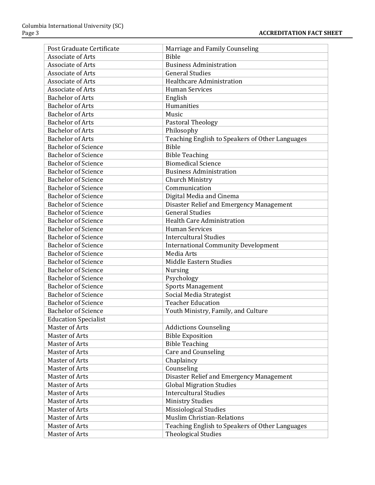| Post Graduate Certificate   | Marriage and Family Counseling                  |
|-----------------------------|-------------------------------------------------|
| <b>Associate of Arts</b>    | <b>Bible</b>                                    |
| Associate of Arts           | <b>Business Administration</b>                  |
| Associate of Arts           | <b>General Studies</b>                          |
| <b>Associate of Arts</b>    | Healthcare Administration                       |
| <b>Associate of Arts</b>    | <b>Human Services</b>                           |
| <b>Bachelor of Arts</b>     | English                                         |
| <b>Bachelor of Arts</b>     | Humanities                                      |
| <b>Bachelor of Arts</b>     | Music                                           |
| <b>Bachelor of Arts</b>     | Pastoral Theology                               |
| <b>Bachelor of Arts</b>     | Philosophy                                      |
| <b>Bachelor of Arts</b>     | Teaching English to Speakers of Other Languages |
| <b>Bachelor of Science</b>  | <b>Bible</b>                                    |
| <b>Bachelor of Science</b>  | <b>Bible Teaching</b>                           |
| <b>Bachelor of Science</b>  | <b>Biomedical Science</b>                       |
| <b>Bachelor of Science</b>  | <b>Business Administration</b>                  |
| <b>Bachelor of Science</b>  | Church Ministry                                 |
| <b>Bachelor of Science</b>  | Communication                                   |
| <b>Bachelor of Science</b>  | Digital Media and Cinema                        |
| <b>Bachelor of Science</b>  | Disaster Relief and Emergency Management        |
| <b>Bachelor of Science</b>  | <b>General Studies</b>                          |
| <b>Bachelor of Science</b>  | <b>Health Care Administration</b>               |
| <b>Bachelor of Science</b>  | <b>Human Services</b>                           |
| <b>Bachelor of Science</b>  | <b>Intercultural Studies</b>                    |
| <b>Bachelor of Science</b>  | <b>International Community Development</b>      |
| <b>Bachelor of Science</b>  | Media Arts                                      |
| <b>Bachelor of Science</b>  | Middle Eastern Studies                          |
| <b>Bachelor of Science</b>  | <b>Nursing</b>                                  |
| <b>Bachelor of Science</b>  | Psychology                                      |
| <b>Bachelor of Science</b>  | <b>Sports Management</b>                        |
| <b>Bachelor of Science</b>  | Social Media Strategist                         |
| <b>Bachelor of Science</b>  | <b>Teacher Education</b>                        |
| <b>Bachelor of Science</b>  | Youth Ministry, Family, and Culture             |
| <b>Education Specialist</b> |                                                 |
| <b>Master of Arts</b>       | <b>Addictions Counseling</b>                    |
| Master of Arts              | <b>Bible Exposition</b>                         |
| Master of Arts              | <b>Bible Teaching</b>                           |
| Master of Arts              | <b>Care and Counseling</b>                      |
| <b>Master of Arts</b>       | Chaplaincy                                      |
| Master of Arts              | Counseling                                      |
| Master of Arts              | Disaster Relief and Emergency Management        |
| Master of Arts              | <b>Global Migration Studies</b>                 |
| Master of Arts              | <b>Intercultural Studies</b>                    |
| Master of Arts              | <b>Ministry Studies</b>                         |
| Master of Arts              | Missiological Studies                           |
| Master of Arts              | <b>Muslim Christian-Relations</b>               |
| Master of Arts              | Teaching English to Speakers of Other Languages |
| Master of Arts              | <b>Theological Studies</b>                      |